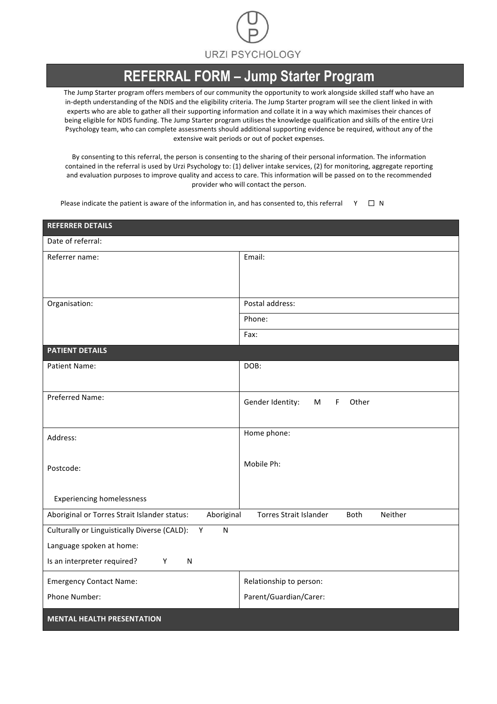

## **REFERRAL FORM – Jump Starter Program**

The Jump Starter program offers members of our community the opportunity to work alongside skilled staff who have an in-depth understanding of the NDIS and the eligibility criteria. The Jump Starter program will see the client linked in with experts who are able to gather all their supporting information and collate it in a way which maximises their chances of being eligible for NDIS funding. The Jump Starter program utilises the knowledge qualification and skills of the entire Urzi Psychology team, who can complete assessments should additional supporting evidence be required, without any of the extensive wait periods or out of pocket expenses.

By consenting to this referral, the person is consenting to the sharing of their personal information. The information contained in the referral is used by Urzi Psychology to: (1) deliver intake services, (2) for monitoring, aggregate reporting and evaluation purposes to improve quality and access to care. This information will be passed on to the recommended provider who will contact the person.

Please indicate the patient is aware of the information in, and has consented to, this referral  $\vee$   $\square$  N

| <b>REFERRER DETAILS</b>                                           |                                                  |  |  |  |  |  |
|-------------------------------------------------------------------|--------------------------------------------------|--|--|--|--|--|
| Date of referral:                                                 |                                                  |  |  |  |  |  |
| Referrer name:                                                    | Email:                                           |  |  |  |  |  |
| Organisation:                                                     | Postal address:                                  |  |  |  |  |  |
|                                                                   | Phone:                                           |  |  |  |  |  |
|                                                                   | Fax:                                             |  |  |  |  |  |
| <b>PATIENT DETAILS</b>                                            |                                                  |  |  |  |  |  |
| <b>Patient Name:</b>                                              | DOB:                                             |  |  |  |  |  |
| Preferred Name:                                                   | Gender Identity:<br>Other<br>$\mathsf F$<br>М    |  |  |  |  |  |
| Address:                                                          | Home phone:                                      |  |  |  |  |  |
| Postcode:                                                         | Mobile Ph:                                       |  |  |  |  |  |
| <b>Experiencing homelessness</b>                                  |                                                  |  |  |  |  |  |
| Aboriginal or Torres Strait Islander status:<br>Aboriginal        | <b>Torres Strait Islander</b><br>Neither<br>Both |  |  |  |  |  |
| Culturally or Linguistically Diverse (CALD):<br>$\mathsf{N}$<br>Y |                                                  |  |  |  |  |  |
| Language spoken at home:                                          |                                                  |  |  |  |  |  |
| $\mathsf{N}$<br>Is an interpreter required?<br>Y                  |                                                  |  |  |  |  |  |
| <b>Emergency Contact Name:</b>                                    | Relationship to person:                          |  |  |  |  |  |
| Phone Number:                                                     | Parent/Guardian/Carer:                           |  |  |  |  |  |
| <b>MENTAL HEALTH PRESENTATION</b>                                 |                                                  |  |  |  |  |  |